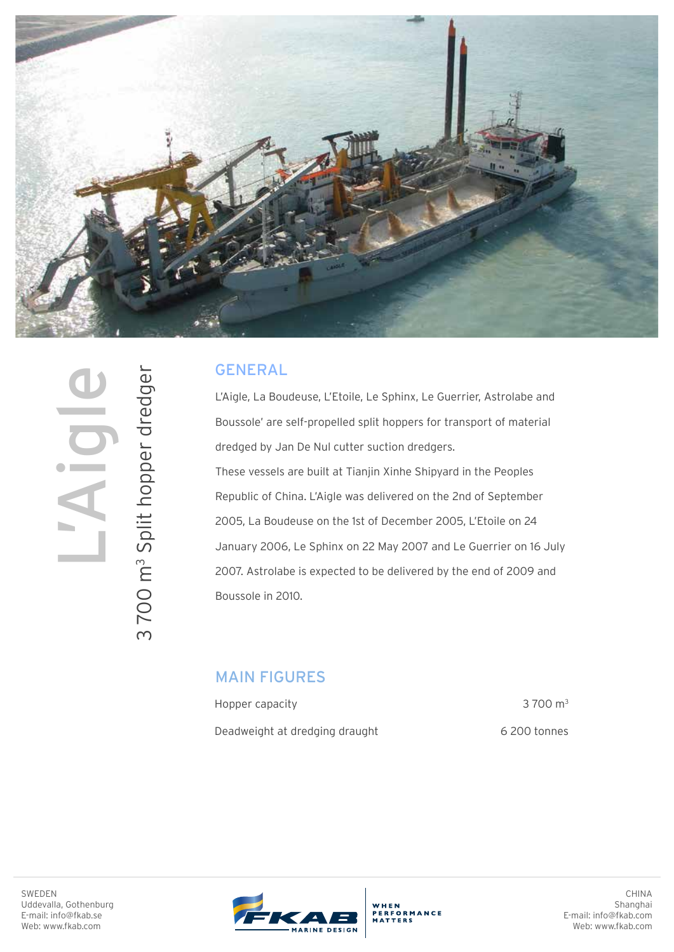

## GENERAL

L'Aigle, La Boudeuse, L'Etoile, Le Sphinx, Le Guerrier, Astrolabe and Boussole' are self-propelled split hoppers for transport of material dredged by Jan De Nul cutter suction dredgers. These vessels are built at Tianjin Xinhe Shipyard in the Peoples Republic of China. L'Aigle was delivered on the 2nd of September 2005, La Boudeuse on the 1st of December 2005, L'Etoile on 24 January 2006, Le Sphinx on 22 May 2007 and Le Guerrier on 16 July 2007. Astrolabe is expected to be delivered by the end of 2009 and Boussole in 2010.

## MAIN FIGURES

Hopper capacity Deadweight at dredging draught

3 700 m3 6 200 tonnes

SWEDEN Uddevalla, Gothenburg E-mail: info@fkab.se Web: www.fkab.com



WHEN ERFORMANCE

CHINA Shanghai E-mail: info@fkab.com Web: www.fkab.com

SWEDEN<br>Uddevalla, Gothenburg<br>E-mail: info@fkab.se<br>Web: www.fkab.com 3700 m<sup>3</sup> Split hopper dredger 3 Split hopper dredger